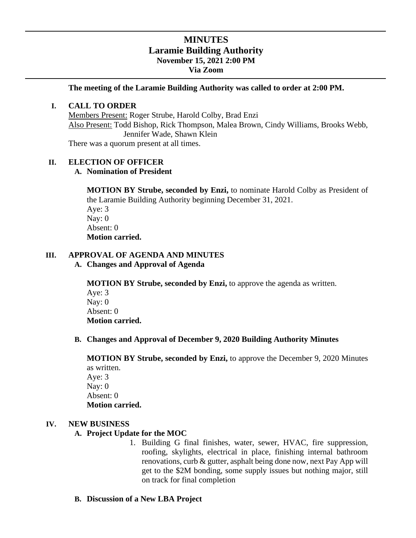# **MINUTES Laramie Building Authority November 15, 2021 2:00 PM Via Zoom**

**The meeting of the Laramie Building Authority was called to order at 2:00 PM.**

#### **I. CALL TO ORDER**

Members Present: Roger Strube, Harold Colby, Brad Enzi Also Present: Todd Bishop, Rick Thompson, Malea Brown, Cindy Williams, Brooks Webb, Jennifer Wade, Shawn Klein

There was a quorum present at all times.

### **II. ELECTION OF OFFICER**

## **A. Nomination of President**

**MOTION BY Strube, seconded by Enzi,** to nominate Harold Colby as President of the Laramie Building Authority beginning December 31, 2021.

Aye: 3 Nay: 0 Absent: 0 **Motion carried.** 

#### **III. APPROVAL OF AGENDA AND MINUTES**

**A. Changes and Approval of Agenda**

**MOTION BY Strube, seconded by Enzi,** to approve the agenda as written.

Aye: 3 Nay: 0 Absent: 0 **Motion carried.** 

### **B. Changes and Approval of December 9, 2020 Building Authority Minutes**

**MOTION BY Strube, seconded by Enzi,** to approve the December 9, 2020 Minutes as written. Aye: 3 Nay: 0 Absent: 0

## **Motion carried.**

### **IV. NEW BUSINESS**

### **A. Project Update for the MOC**

- 1. Building G final finishes, water, sewer, HVAC, fire suppression, roofing, skylights, electrical in place, finishing internal bathroom renovations, curb & gutter, asphalt being done now, next Pay App will get to the \$2M bonding, some supply issues but nothing major, still on track for final completion
- **B. Discussion of a New LBA Project**